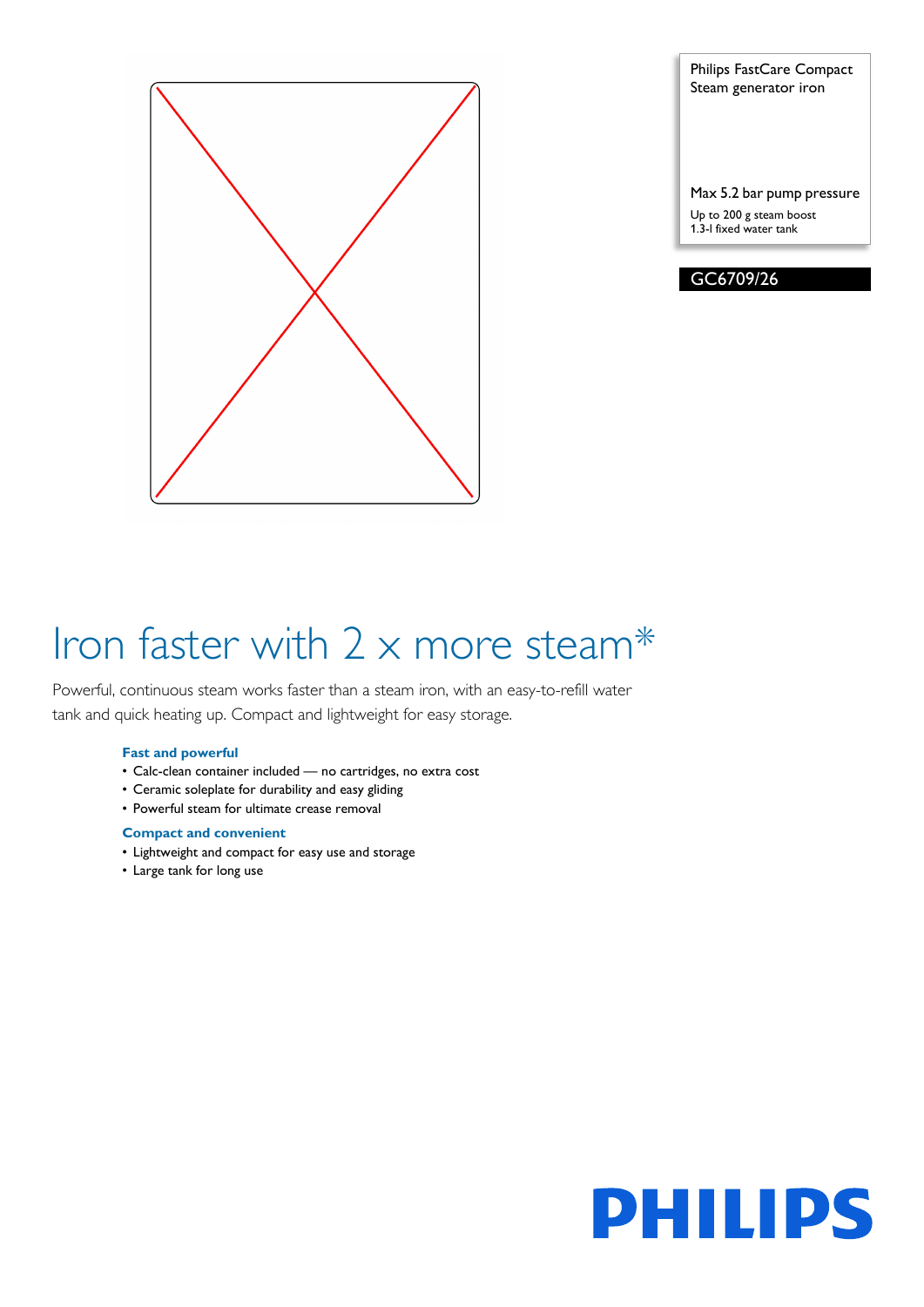

Philips FastCare Compact Steam generator iron

Max 5.2 bar pump pressure Up to 200 g steam boost 1.3-l fixed water tank



# Iron faster with 2 x more steam\*

Powerful, continuous steam works faster than a steam iron, with an easy-to-refill water tank and quick heating up. Compact and lightweight for easy storage.

### **Fast and powerful**

- Calc-clean container included no cartridges, no extra cost
- Ceramic soleplate for durability and easy gliding
- Powerful steam for ultimate crease removal

### **Compact and convenient**

- Lightweight and compact for easy use and storage
- Large tank for long use